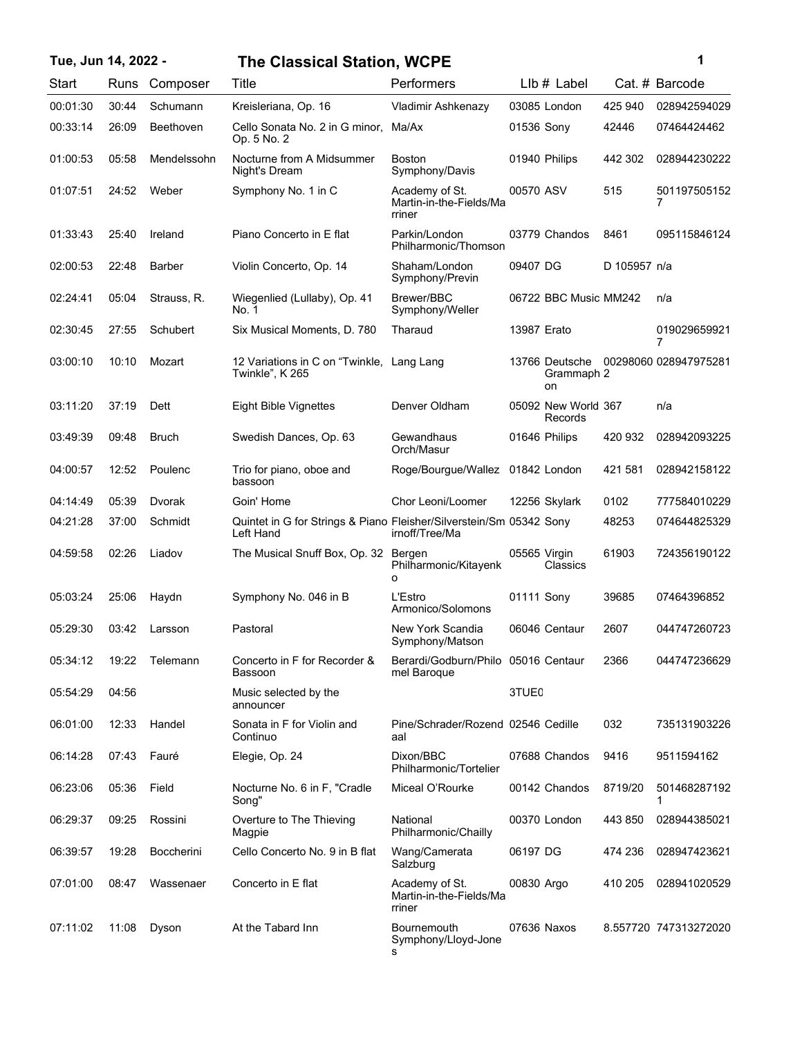| Tue, Jun 14, 2022 - |       |                   | <b>The Classical Station, WCPE</b>                                               |                                                     |                   |                                    |              | 1                     |
|---------------------|-------|-------------------|----------------------------------------------------------------------------------|-----------------------------------------------------|-------------------|------------------------------------|--------------|-----------------------|
| Start               | Runs  | Composer          | Title                                                                            | Performers                                          |                   | $Llb#$ Label                       |              | Cat. # Barcode        |
| 00:01:30            | 30:44 | Schumann          | Kreisleriana, Op. 16                                                             | Vladimir Ashkenazy                                  |                   | 03085 London                       | 425 940      | 028942594029          |
| 00:33:14            | 26:09 | Beethoven         | Cello Sonata No. 2 in G minor, Ma/Ax<br>Op. 5 No. 2                              |                                                     | 01536 Sony        |                                    | 42446        | 07464424462           |
| 01:00:53            | 05:58 | Mendelssohn       | Nocturne from A Midsummer<br>Night's Dream                                       | Boston<br>Symphony/Davis                            |                   | 01940 Philips                      | 442 302      | 028944230222          |
| 01:07:51            | 24:52 | Weber             | Symphony No. 1 in C                                                              | Academy of St.<br>Martin-in-the-Fields/Ma<br>rriner | 00570 ASV         |                                    | 515          | 501197505152<br>7     |
| 01:33:43            | 25:40 | Ireland           | Piano Concerto in E flat                                                         | Parkin/London<br>Philharmonic/Thomson               |                   | 03779 Chandos                      | 8461         | 095115846124          |
| 02:00:53            | 22:48 | <b>Barber</b>     | Violin Concerto, Op. 14                                                          | Shaham/London<br>Symphony/Previn                    | 09407 DG          |                                    | D 105957 n/a |                       |
| 02:24:41            | 05:04 | Strauss, R.       | Wiegenlied (Lullaby), Op. 41<br>No. 1                                            | Brewer/BBC<br>Symphony/Weller                       |                   | 06722 BBC Music MM242              |              | n/a                   |
| 02:30:45            | 27:55 | Schubert          | Six Musical Moments, D. 780                                                      | Tharaud                                             | 13987 Erato       |                                    |              | 019029659921<br>7     |
| 03:00:10            | 10:10 | Mozart            | 12 Variations in C on "Twinkle, Lang Lang<br>Twinkle", K 265                     |                                                     |                   | 13766 Deutsche<br>Grammaph 2<br>on |              | 00298060 028947975281 |
| 03:11:20            | 37:19 | Dett              | <b>Eight Bible Vignettes</b>                                                     | Denver Oldham                                       |                   | 05092 New World 367<br>Records     |              | n/a                   |
| 03:49:39            | 09:48 | <b>Bruch</b>      | Swedish Dances, Op. 63                                                           | Gewandhaus<br>Orch/Masur                            |                   | 01646 Philips                      | 420 932      | 028942093225          |
| 04:00:57            | 12:52 | Poulenc           | Trio for piano, oboe and<br>bassoon                                              | Roge/Bourgue/Wallez 01842 London                    |                   |                                    | 421 581      | 028942158122          |
| 04:14:49            | 05:39 | Dvorak            | Goin' Home                                                                       | Chor Leoni/Loomer                                   |                   | 12256 Skylark                      | 0102         | 777584010229          |
| 04:21:28            | 37:00 | Schmidt           | Quintet in G for Strings & Piano Fleisher/Silverstein/Sm 05342 Sony<br>Left Hand | irnoff/Tree/Ma                                      |                   |                                    | 48253        | 074644825329          |
| 04:59:58            | 02:26 | Liadov            | The Musical Snuff Box, Op. 32 Bergen                                             | Philharmonic/Kitayenk<br>o                          | 05565 Virgin      | Classics                           | 61903        | 724356190122          |
| 05:03:24            | 25:06 | Haydn             | Symphony No. 046 in B                                                            | L'Estro<br>Armonico/Solomons                        | 01111 Sony        |                                    | 39685        | 07464396852           |
| 05:29:30            | 03:42 | Larsson           | Pastoral                                                                         | New York Scandia<br>Symphony/Matson                 |                   | 06046 Centaur                      | 2607         | 044747260723          |
| 05:34:12            | 19:22 | Telemann          | Concerto in F for Recorder &<br>Bassoon                                          | Berardi/Godburn/Philo 05016 Centaur<br>mel Baroque  |                   |                                    | 2366         | 044747236629          |
| 05:54:29            | 04:56 |                   | Music selected by the<br>announcer                                               |                                                     | 3TUE <sub>0</sub> |                                    |              |                       |
| 06:01:00            | 12:33 | Handel            | Sonata in F for Violin and<br>Continuo                                           | Pine/Schrader/Rozend 02546 Cedille<br>aal           |                   |                                    | 032          | 735131903226          |
| 06:14:28            | 07:43 | Fauré             | Elegie, Op. 24                                                                   | Dixon/BBC<br>Philharmonic/Tortelier                 |                   | 07688 Chandos                      | 9416         | 9511594162            |
| 06:23:06            | 05:36 | Field             | Nocturne No. 6 in F, "Cradle<br>Song"                                            | Miceal O'Rourke                                     |                   | 00142 Chandos                      | 8719/20      | 501468287192          |
| 06:29:37            | 09:25 | Rossini           | Overture to The Thieving<br>Magpie                                               | National<br>Philharmonic/Chailly                    |                   | 00370 London                       | 443 850      | 028944385021          |
| 06:39:57            | 19:28 | <b>Boccherini</b> | Cello Concerto No. 9 in B flat                                                   | Wang/Camerata<br>Salzburg                           | 06197 DG          |                                    | 474 236      | 028947423621          |
| 07:01:00            | 08:47 | Wassenaer         | Concerto in E flat                                                               | Academy of St.<br>Martin-in-the-Fields/Ma<br>rriner | 00830 Argo        |                                    | 410 205      | 028941020529          |
| 07:11:02            | 11:08 | Dyson             | At the Tabard Inn                                                                | <b>Bournemouth</b><br>Symphony/Lloyd-Jone           | 07636 Naxos       |                                    |              | 8.557720 747313272020 |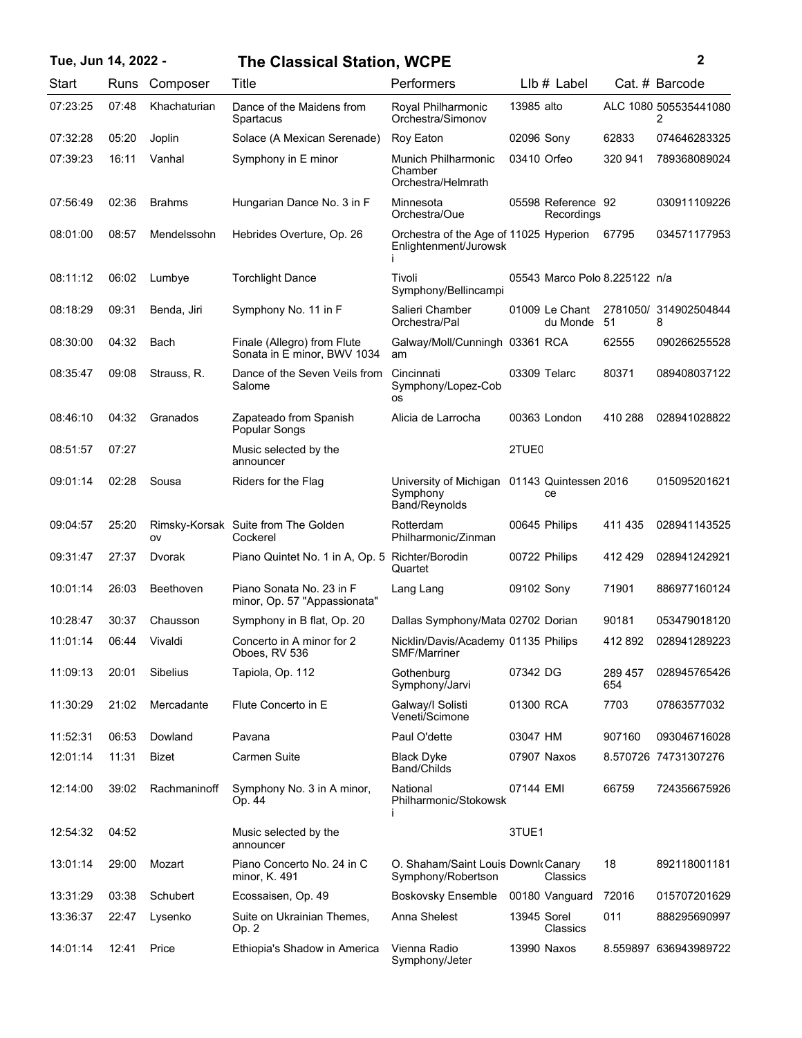## **Tue, Jun 14, 2022 - 2 The Classical Station, WCPE**

| Start    | Runs  | Composer      | Title                                                      | Performers                                                      |                   | LIb # Label                      |                | Cat. # Barcode             |
|----------|-------|---------------|------------------------------------------------------------|-----------------------------------------------------------------|-------------------|----------------------------------|----------------|----------------------------|
| 07:23:25 | 07:48 | Khachaturian  | Dance of the Maidens from<br>Spartacus                     | Royal Philharmonic<br>Orchestra/Simonov                         | 13985 alto        |                                  |                | ALC 1080 505535441080<br>2 |
| 07:32:28 | 05:20 | Joplin        | Solace (A Mexican Serenade)                                | Roy Eaton                                                       | 02096 Sony        |                                  | 62833          | 074646283325               |
| 07:39:23 | 16:11 | Vanhal        | Symphony in E minor                                        | Munich Philharmonic<br>Chamber<br>Orchestra/Helmrath            | 03410 Orfeo       |                                  | 320 941        | 789368089024               |
| 07:56:49 | 02:36 | <b>Brahms</b> | Hungarian Dance No. 3 in F                                 | Minnesota<br>Orchestra/Oue                                      |                   | 05598 Reference 92<br>Recordings |                | 030911109226               |
| 08:01:00 | 08:57 | Mendelssohn   | Hebrides Overture, Op. 26                                  | Orchestra of the Age of 11025 Hyperion<br>Enlightenment/Jurowsk |                   |                                  | 67795          | 034571177953               |
| 08:11:12 | 06:02 | Lumbye        | <b>Torchlight Dance</b>                                    | Tivoli<br>Symphony/Bellincampi                                  |                   | 05543 Marco Polo 8.225122 n/a    |                |                            |
| 08:18:29 | 09:31 | Benda, Jiri   | Symphony No. 11 in F                                       | Salieri Chamber<br>Orchestra/Pal                                |                   | 01009 Le Chant<br>du Monde       | 51             | 2781050/ 314902504844<br>8 |
| 08:30:00 | 04:32 | Bach          | Finale (Allegro) from Flute<br>Sonata in E minor, BWV 1034 | Galway/Moll/Cunningh 03361 RCA<br>am                            |                   |                                  | 62555          | 090266255528               |
| 08:35:47 | 09:08 | Strauss, R.   | Dance of the Seven Veils from<br>Salome                    | Cincinnati<br>Symphony/Lopez-Cob<br><b>OS</b>                   |                   | 03309 Telarc                     | 80371          | 089408037122               |
| 08:46:10 | 04:32 | Granados      | Zapateado from Spanish<br>Popular Songs                    | Alicia de Larrocha                                              |                   | 00363 London                     | 410 288        | 028941028822               |
| 08:51:57 | 07:27 |               | Music selected by the<br>announcer                         |                                                                 | 2TUE <sub>0</sub> |                                  |                |                            |
| 09:01:14 | 02:28 | Sousa         | Riders for the Flag                                        | University of Michigan<br>Symphony<br>Band/Reynolds             |                   | 01143 Quintessen 2016<br>ce      |                | 015095201621               |
| 09:04:57 | 25:20 | ov            | Rimsky-Korsak Suite from The Golden<br>Cockerel            | Rotterdam<br>Philharmonic/Zinman                                |                   | 00645 Philips                    | 411 435        | 028941143525               |
| 09:31:47 | 27:37 | Dvorak        | Piano Quintet No. 1 in A, Op. 5 Richter/Borodin            | Quartet                                                         |                   | 00722 Philips                    | 412429         | 028941242921               |
| 10:01:14 | 26:03 | Beethoven     | Piano Sonata No. 23 in F<br>minor, Op. 57 "Appassionata"   | Lang Lang                                                       | 09102 Sony        |                                  | 71901          | 886977160124               |
| 10:28:47 | 30:37 | Chausson      | Symphony in B flat, Op. 20                                 | Dallas Symphony/Mata 02702 Dorian                               |                   |                                  | 90181          | 053479018120               |
| 11:01:14 | 06:44 | Vivaldi       | Concerto in A minor for 2<br>Oboes, RV 536                 | Nicklin/Davis/Academy 01135 Philips<br><b>SMF/Marriner</b>      |                   |                                  | 412 892        | 028941289223               |
| 11:09:13 | 20:01 | Sibelius      | Tapiola, Op. 112                                           | Gothenburg<br>Symphony/Jarvi                                    | 07342 DG          |                                  | 289 457<br>654 | 028945765426               |
| 11:30:29 | 21:02 | Mercadante    | Flute Concerto in E                                        | Galway/I Solisti<br>Veneti/Scimone                              | 01300 RCA         |                                  | 7703           | 07863577032                |
| 11:52:31 | 06:53 | Dowland       | Pavana                                                     | Paul O'dette                                                    | 03047 HM          |                                  | 907160         | 093046716028               |
| 12:01:14 | 11:31 | Bizet         | <b>Carmen Suite</b>                                        | <b>Black Dyke</b><br>Band/Childs                                |                   | 07907 Naxos                      |                | 8.570726 74731307276       |
| 12:14:00 | 39:02 | Rachmaninoff  | Symphony No. 3 in A minor,<br>Op. 44                       | National<br>Philharmonic/Stokowsk                               | 07144 EMI         |                                  | 66759          | 724356675926               |
| 12:54:32 | 04:52 |               | Music selected by the<br>announcer                         |                                                                 | 3TUE1             |                                  |                |                            |
| 13:01:14 | 29:00 | Mozart        | Piano Concerto No. 24 in C<br>minor, K. 491                | O. Shaham/Saint Louis Downk Canary<br>Symphony/Robertson        |                   | Classics                         | 18             | 892118001181               |
| 13:31:29 | 03:38 | Schubert      | Ecossaisen, Op. 49                                         | <b>Boskovsky Ensemble</b>                                       |                   | 00180 Vanguard                   | 72016          | 015707201629               |
| 13:36:37 | 22:47 | Lysenko       | Suite on Ukrainian Themes,<br>Op. 2                        | Anna Shelest                                                    | 13945 Sorel       | Classics                         | 011            | 888295690997               |
| 14:01:14 | 12:41 | Price         | Ethiopia's Shadow in America                               | Vienna Radio<br>Symphony/Jeter                                  |                   | 13990 Naxos                      |                | 8.559897 636943989722      |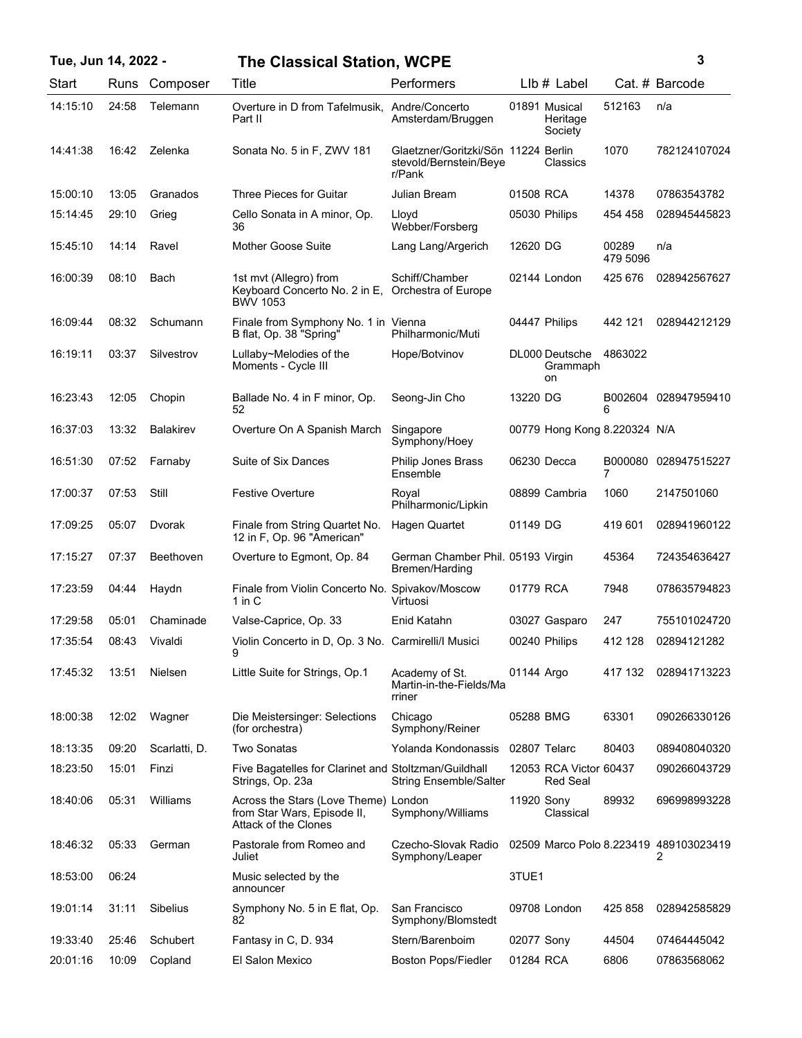| Tue, Jun 14, 2022 - |       |                  | <b>The Classical Station, WCPE</b>                                                                 |                                                                         |            |                                           |                   | 3                                           |
|---------------------|-------|------------------|----------------------------------------------------------------------------------------------------|-------------------------------------------------------------------------|------------|-------------------------------------------|-------------------|---------------------------------------------|
| Start               | Runs  | Composer         | Title                                                                                              | Performers                                                              |            | $Llb#$ Label                              |                   | Cat. # Barcode                              |
| 14:15:10            | 24:58 | Telemann         | Overture in D from Tafelmusik, Andre/Concerto<br>Part II                                           | Amsterdam/Bruggen                                                       |            | 01891 Musical<br>Heritage<br>Society      | 512163            | n/a                                         |
| 14:41:38            | 16:42 | Zelenka          | Sonata No. 5 in F, ZWV 181                                                                         | Glaetzner/Goritzki/Sön 11224 Berlin<br>stevold/Bernstein/Beye<br>r/Pank |            | Classics                                  | 1070              | 782124107024                                |
| 15:00:10            | 13:05 | Granados         | Three Pieces for Guitar                                                                            | Julian Bream                                                            | 01508 RCA  |                                           | 14378             | 07863543782                                 |
| 15:14:45            | 29:10 | Grieg            | Cello Sonata in A minor, Op.<br>36                                                                 | Lloyd<br>Webber/Forsberg                                                |            | 05030 Philips                             | 454 458           | 028945445823                                |
| 15:45:10            | 14:14 | Ravel            | <b>Mother Goose Suite</b>                                                                          | Lang Lang/Argerich                                                      | 12620 DG   |                                           | 00289<br>479 5096 | n/a                                         |
| 16:00:39            | 08:10 | Bach             | 1st mvt (Allegro) from<br>Keyboard Concerto No. 2 in E, Orchestra of Europe<br>BWV 1053            | Schiff/Chamber                                                          |            | 02144 London                              | 425 676           | 028942567627                                |
| 16:09:44            | 08:32 | Schumann         | Finale from Symphony No. 1 in Vienna<br>B flat, Op. 38 "Spring"                                    | Philharmonic/Muti                                                       |            | 04447 Philips                             | 442 121           | 028944212129                                |
| 16:19:11            | 03:37 | Silvestrov       | Lullaby~Melodies of the<br>Moments - Cycle III                                                     | Hope/Botvinov                                                           |            | DL000 Deutsche<br>Grammaph<br>on          | 4863022           |                                             |
| 16:23:43            | 12:05 | Chopin           | Ballade No. 4 in F minor, Op.<br>52                                                                | Seong-Jin Cho                                                           | 13220 DG   |                                           |                   | B002604 028947959410                        |
| 16:37:03            | 13:32 | <b>Balakirev</b> | Overture On A Spanish March                                                                        | Singapore<br>Symphony/Hoey                                              |            | 00779 Hong Kong 8.220324 N/A              |                   |                                             |
| 16:51:30            | 07:52 | Farnaby          | Suite of Six Dances                                                                                | <b>Philip Jones Brass</b><br>Ensemble                                   |            | 06230 Decca                               | B000080<br>7      | 028947515227                                |
| 17:00:37            | 07:53 | Still            | <b>Festive Overture</b>                                                                            | Roval<br>Philharmonic/Lipkin                                            |            | 08899 Cambria                             | 1060              | 2147501060                                  |
| 17:09:25            | 05:07 | Dvorak           | Finale from String Quartet No.<br>12 in F, Op. 96 "American"                                       | Hagen Quartet                                                           | 01149 DG   |                                           | 419 601           | 028941960122                                |
| 17:15:27            | 07:37 | Beethoven        | Overture to Egmont, Op. 84                                                                         | German Chamber Phil. 05193 Virgin<br>Bremen/Harding                     |            |                                           | 45364             | 724354636427                                |
| 17:23:59            | 04:44 | Haydn            | Finale from Violin Concerto No. Spivakov/Moscow<br>1 in C                                          | Virtuosi                                                                | 01779 RCA  |                                           | 7948              | 078635794823                                |
| 17:29:58            | 05:01 | Chaminade        | Valse-Caprice, Op. 33                                                                              | Enid Katahn                                                             |            | 03027 Gasparo                             | 247               | 755101024720                                |
| 17:35:54            |       | 08:43 Vivaldi    | Violin Concerto in D, Op. 3 No. Carmirelli/I Musici<br>9                                           |                                                                         |            | 00240 Philips                             | 412 128           | 02894121282                                 |
| 17:45:32            | 13:51 | Nielsen          | Little Suite for Strings, Op.1                                                                     | Academy of St.<br>Martin-in-the-Fields/Ma<br>rriner                     | 01144 Argo |                                           | 417 132           | 028941713223                                |
| 18:00:38            | 12:02 | Wagner           | Die Meistersinger: Selections<br>(for orchestra)                                                   | Chicago<br>Symphony/Reiner                                              | 05288 BMG  |                                           | 63301             | 090266330126                                |
| 18:13:35            | 09:20 | Scarlatti, D.    | <b>Two Sonatas</b>                                                                                 | Yolanda Kondonassis                                                     |            | 02807 Telarc                              | 80403             | 089408040320                                |
| 18:23:50            | 15:01 | Finzi            | Five Bagatelles for Clarinet and Stoltzman/Guildhall<br>Strings, Op. 23a                           | <b>String Ensemble/Salter</b>                                           |            | 12053 RCA Victor 60437<br><b>Red Seal</b> |                   | 090266043729                                |
| 18:40:06            | 05:31 | Williams         | Across the Stars (Love Theme) London<br>from Star Wars, Episode II,<br><b>Attack of the Clones</b> | Symphony/Williams                                                       | 11920 Sony | Classical                                 | 89932             | 696998993228                                |
| 18:46:32            | 05:33 | German           | Pastorale from Romeo and<br>Juliet                                                                 | Czecho-Slovak Radio<br>Symphony/Leaper                                  |            |                                           |                   | 02509 Marco Polo 8.223419 489103023419<br>2 |
| 18:53:00            | 06:24 |                  | Music selected by the<br>announcer                                                                 |                                                                         | 3TUE1      |                                           |                   |                                             |
| 19:01:14            | 31:11 | Sibelius         | Symphony No. 5 in E flat, Op.<br>82                                                                | San Francisco<br>Symphony/Blomstedt                                     |            | 09708 London                              | 425 858           | 028942585829                                |
| 19:33:40            | 25:46 | Schubert         | Fantasy in C, D. 934                                                                               | Stern/Barenboim                                                         | 02077 Sony |                                           | 44504             | 07464445042                                 |
| 20:01:16            | 10:09 | Copland          | El Salon Mexico                                                                                    | <b>Boston Pops/Fiedler</b>                                              | 01284 RCA  |                                           | 6806              | 07863568062                                 |